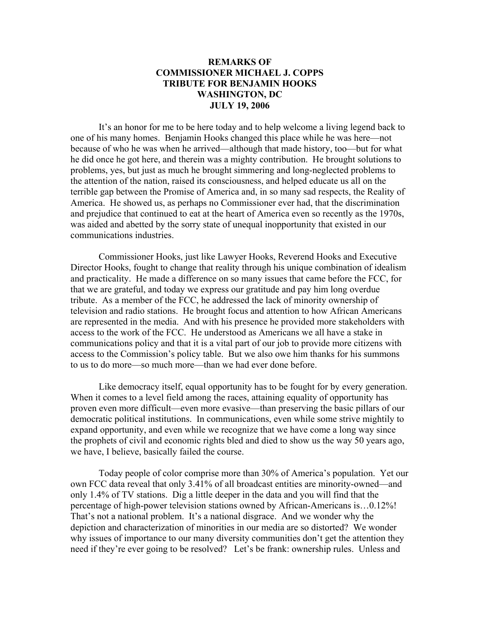## **REMARKS OF COMMISSIONER MICHAEL J. COPPS TRIBUTE FOR BENJAMIN HOOKS WASHINGTON, DC JULY 19, 2006**

It's an honor for me to be here today and to help welcome a living legend back to one of his many homes. Benjamin Hooks changed this place while he was here—not because of who he was when he arrived—although that made history, too—but for what he did once he got here, and therein was a mighty contribution. He brought solutions to problems, yes, but just as much he brought simmering and long-neglected problems to the attention of the nation, raised its consciousness, and helped educate us all on the terrible gap between the Promise of America and, in so many sad respects, the Reality of America. He showed us, as perhaps no Commissioner ever had, that the discrimination and prejudice that continued to eat at the heart of America even so recently as the 1970s, was aided and abetted by the sorry state of unequal inopportunity that existed in our communications industries.

Commissioner Hooks, just like Lawyer Hooks, Reverend Hooks and Executive Director Hooks, fought to change that reality through his unique combination of idealism and practicality. He made a difference on so many issues that came before the FCC, for that we are grateful, and today we express our gratitude and pay him long overdue tribute. As a member of the FCC, he addressed the lack of minority ownership of television and radio stations. He brought focus and attention to how African Americans are represented in the media. And with his presence he provided more stakeholders with access to the work of the FCC. He understood as Americans we all have a stake in communications policy and that it is a vital part of our job to provide more citizens with access to the Commission's policy table. But we also owe him thanks for his summons to us to do more—so much more—than we had ever done before.

Like democracy itself, equal opportunity has to be fought for by every generation. When it comes to a level field among the races, attaining equality of opportunity has proven even more difficult—even more evasive—than preserving the basic pillars of our democratic political institutions. In communications, even while some strive mightily to expand opportunity, and even while we recognize that we have come a long way since the prophets of civil and economic rights bled and died to show us the way 50 years ago, we have, I believe, basically failed the course.

Today people of color comprise more than 30% of America's population. Yet our own FCC data reveal that only 3.41% of all broadcast entities are minority-owned—and only 1.4% of TV stations. Dig a little deeper in the data and you will find that the percentage of high-power television stations owned by African-Americans is…0.12%! That's not a national problem. It's a national disgrace. And we wonder why the depiction and characterization of minorities in our media are so distorted? We wonder why issues of importance to our many diversity communities don't get the attention they need if they're ever going to be resolved? Let's be frank: ownership rules. Unless and